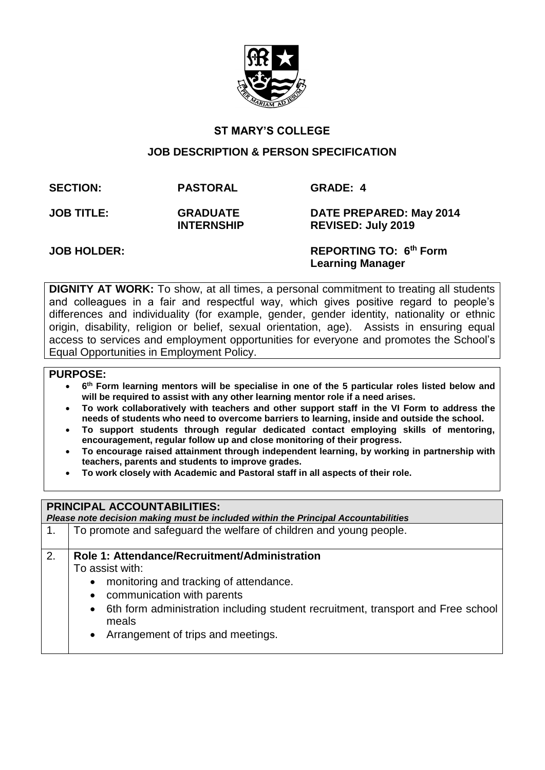

# **ST MARY'S COLLEGE**

## **JOB DESCRIPTION & PERSON SPECIFICATION**

**SECTION: PASTORAL GRADE: 4**

**JOB TITLE: GRADUATE INTERNSHIP** 

**DATE PREPARED: May 2014 REVISED: July 2019**

**JOB HOLDER: REPORTING TO: 6<sup>th</sup> Form Learning Manager** 

**DIGNITY AT WORK:** To show, at all times, a personal commitment to treating all students and colleagues in a fair and respectful way, which gives positive regard to people's differences and individuality (for example, gender, gender identity, nationality or ethnic origin, disability, religion or belief, sexual orientation, age). Assists in ensuring equal access to services and employment opportunities for everyone and promotes the School's Equal Opportunities in Employment Policy.

## **PURPOSE:**

- **6 th Form learning mentors will be specialise in one of the 5 particular roles listed below and will be required to assist with any other learning mentor role if a need arises.**
- **To work collaboratively with teachers and other support staff in the VI Form to address the needs of students who need to overcome barriers to learning, inside and outside the school.**
- **To support students through regular dedicated contact employing skills of mentoring, encouragement, regular follow up and close monitoring of their progress.**
- **To encourage raised attainment through independent learning, by working in partnership with teachers, parents and students to improve grades.**
- **To work closely with Academic and Pastoral staff in all aspects of their role.**

## **PRINCIPAL ACCOUNTABILITIES:**

| Please note decision making must be included within the Principal Accountabilities |                                                                                                        |  |  |  |  |  |
|------------------------------------------------------------------------------------|--------------------------------------------------------------------------------------------------------|--|--|--|--|--|
| $\mathbf{1}$ .                                                                     | To promote and safeguard the welfare of children and young people.                                     |  |  |  |  |  |
| 2.                                                                                 | Role 1: Attendance/Recruitment/Administration                                                          |  |  |  |  |  |
|                                                                                    | To assist with:                                                                                        |  |  |  |  |  |
|                                                                                    | monitoring and tracking of attendance.<br>$\bullet$                                                    |  |  |  |  |  |
|                                                                                    | communication with parents<br>$\bullet$                                                                |  |  |  |  |  |
|                                                                                    | 6th form administration including student recruitment, transport and Free school<br>$\bullet$<br>meals |  |  |  |  |  |
|                                                                                    | Arrangement of trips and meetings.                                                                     |  |  |  |  |  |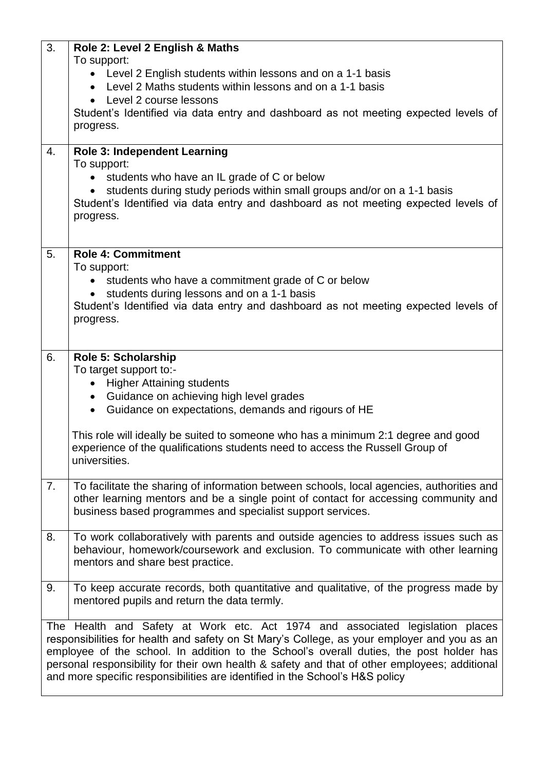| 3. | Role 2: Level 2 English & Maths<br>To support:<br>• Level 2 English students within lessons and on a 1-1 basis<br>Level 2 Maths students within lessons and on a 1-1 basis<br>Level 2 course lessons<br>$\bullet$<br>Student's Identified via data entry and dashboard as not meeting expected levels of<br>progress.                                                                                                                                    |
|----|----------------------------------------------------------------------------------------------------------------------------------------------------------------------------------------------------------------------------------------------------------------------------------------------------------------------------------------------------------------------------------------------------------------------------------------------------------|
| 4. | <b>Role 3: Independent Learning</b><br>To support:<br>students who have an IL grade of C or below<br>students during study periods within small groups and/or on a 1-1 basis<br>Student's Identified via data entry and dashboard as not meeting expected levels of<br>progress.                                                                                                                                                                         |
| 5. | <b>Role 4: Commitment</b><br>To support:<br>students who have a commitment grade of C or below<br>$\bullet$<br>students during lessons and on a 1-1 basis<br>Student's Identified via data entry and dashboard as not meeting expected levels of<br>progress.                                                                                                                                                                                            |
| 6. | Role 5: Scholarship<br>To target support to:-<br><b>Higher Attaining students</b><br>$\bullet$<br>Guidance on achieving high level grades<br>$\bullet$<br>• Guidance on expectations, demands and rigours of HE<br>This role will ideally be suited to someone who has a minimum 2:1 degree and good<br>experience of the qualifications students need to access the Russell Group of<br>universities.                                                   |
| 7. | To facilitate the sharing of information between schools, local agencies, authorities and<br>other learning mentors and be a single point of contact for accessing community and<br>business based programmes and specialist support services.                                                                                                                                                                                                           |
| 8. | To work collaboratively with parents and outside agencies to address issues such as<br>behaviour, homework/coursework and exclusion. To communicate with other learning<br>mentors and share best practice.                                                                                                                                                                                                                                              |
| 9. | To keep accurate records, both quantitative and qualitative, of the progress made by<br>mentored pupils and return the data termly.                                                                                                                                                                                                                                                                                                                      |
|    | The Health and Safety at Work etc. Act 1974 and associated legislation places<br>responsibilities for health and safety on St Mary's College, as your employer and you as an<br>employee of the school. In addition to the School's overall duties, the post holder has<br>personal responsibility for their own health & safety and that of other employees; additional<br>and more specific responsibilities are identified in the School's H&S policy |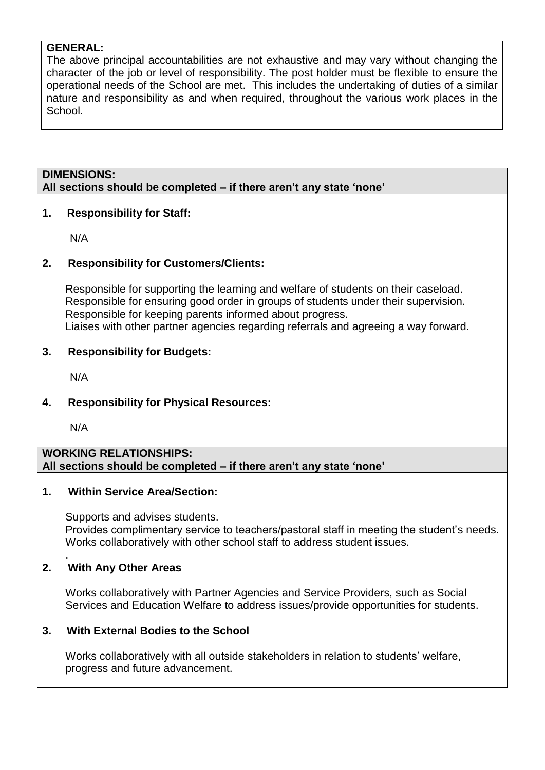# **GENERAL:**

The above principal accountabilities are not exhaustive and may vary without changing the character of the job or level of responsibility. The post holder must be flexible to ensure the operational needs of the School are met. This includes the undertaking of duties of a similar nature and responsibility as and when required, throughout the various work places in the School.

# **DIMENSIONS: All sections should be completed – if there aren't any state 'none'**

## **1. Responsibility for Staff:**

N/A

## **2. Responsibility for Customers/Clients:**

Responsible for supporting the learning and welfare of students on their caseload. Responsible for ensuring good order in groups of students under their supervision. Responsible for keeping parents informed about progress. Liaises with other partner agencies regarding referrals and agreeing a way forward.

## **3. Responsibility for Budgets:**

N/A

## **4. Responsibility for Physical Resources:**

N/A

## **WORKING RELATIONSHIPS: All sections should be completed – if there aren't any state 'none'**

## **1. Within Service Area/Section:**

Supports and advises students. Provides complimentary service to teachers/pastoral staff in meeting the student's needs. Works collaboratively with other school staff to address student issues.

#### . **2. With Any Other Areas**

Works collaboratively with Partner Agencies and Service Providers, such as Social Services and Education Welfare to address issues/provide opportunities for students.

## **3. With External Bodies to the School**

Works collaboratively with all outside stakeholders in relation to students' welfare, progress and future advancement.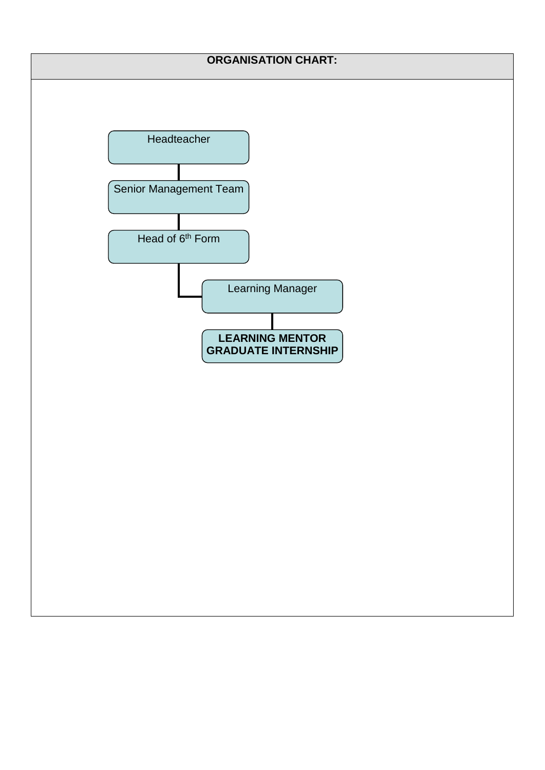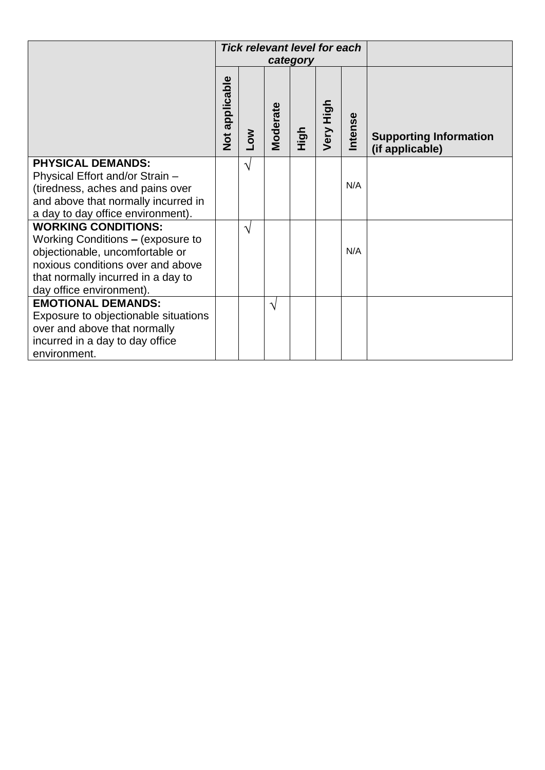|                                                                                                                                                                                                           | <b>Tick relevant level for each</b><br>category |               |                 |             |           |         |                                                  |
|-----------------------------------------------------------------------------------------------------------------------------------------------------------------------------------------------------------|-------------------------------------------------|---------------|-----------------|-------------|-----------|---------|--------------------------------------------------|
|                                                                                                                                                                                                           | Not applicable                                  | <b>NOT</b>    | <b>Moderate</b> | <b>High</b> | Very High | Intense | <b>Supporting Information</b><br>(if applicable) |
| <b>PHYSICAL DEMANDS:</b><br>Physical Effort and/or Strain -<br>(tiredness, aches and pains over<br>and above that normally incurred in<br>a day to day office environment).                               |                                                 | $\sqrt{}$     |                 |             |           | N/A     |                                                  |
| <b>WORKING CONDITIONS:</b><br>Working Conditions - (exposure to<br>objectionable, uncomfortable or<br>noxious conditions over and above<br>that normally incurred in a day to<br>day office environment). |                                                 | $\mathcal{N}$ |                 |             |           | N/A     |                                                  |
| <b>EMOTIONAL DEMANDS:</b><br>Exposure to objectionable situations<br>over and above that normally<br>incurred in a day to day office<br>environment.                                                      |                                                 |               | $\sqrt{ }$      |             |           |         |                                                  |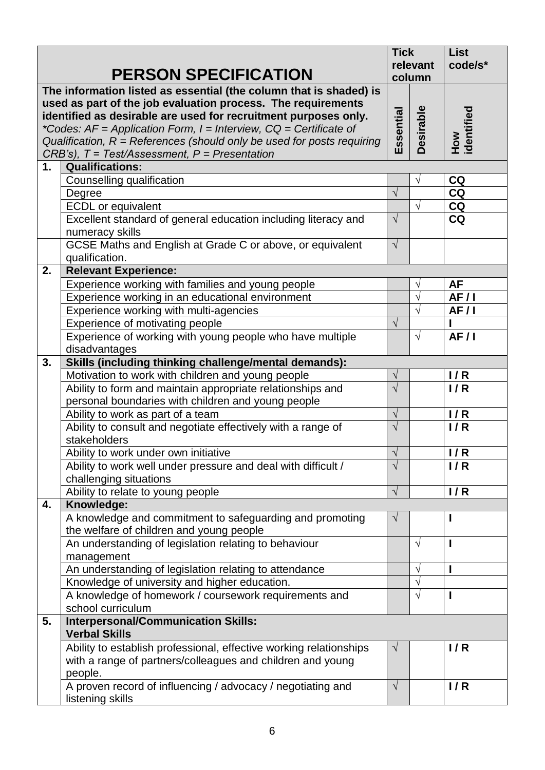|    |                                                                            |            |                    | <b>List</b>       |  |
|----|----------------------------------------------------------------------------|------------|--------------------|-------------------|--|
|    | <b>PERSON SPECIFICATION</b>                                                |            | relevant<br>column | code/s*           |  |
|    | The information listed as essential (the column that is shaded) is         |            |                    |                   |  |
|    | used as part of the job evaluation process. The requirements               |            |                    |                   |  |
|    | identified as desirable are used for recruitment purposes only.            | Essential  | Desirable          | How<br>identified |  |
|    | *Codes: $AF = Application Form$ , $I = Interview$ , $CQ = Certificance$ of |            |                    |                   |  |
|    | Qualification, $R =$ References (should only be used for posts requiring   |            |                    |                   |  |
|    | $CRB's$ ), $T = Test/Assessment$ , $P = Presentation$                      |            |                    |                   |  |
| 1. | <b>Qualifications:</b>                                                     |            |                    |                   |  |
|    | Counselling qualification                                                  |            | $\sqrt{}$          | CQ                |  |
|    | Degree                                                                     | $\sqrt{}$  |                    | <b>CQ</b>         |  |
|    | <b>ECDL</b> or equivalent                                                  |            | $\sqrt{}$          | <b>CQ</b>         |  |
|    | Excellent standard of general education including literacy and             | $\sqrt{ }$ |                    | <b>CQ</b>         |  |
|    | numeracy skills                                                            |            |                    |                   |  |
|    | GCSE Maths and English at Grade C or above, or equivalent                  | $\sqrt{}$  |                    |                   |  |
|    | qualification.                                                             |            |                    |                   |  |
| 2. | <b>Relevant Experience:</b>                                                |            |                    |                   |  |
|    | Experience working with families and young people                          |            | V                  | <b>AF</b>         |  |
|    | Experience working in an educational environment                           |            | $\sqrt{}$          | AF/1              |  |
|    | Experience working with multi-agencies                                     |            | $\sqrt{}$          | AF/I              |  |
|    | Experience of motivating people                                            | $\sqrt{}$  |                    |                   |  |
|    | Experience of working with young people who have multiple                  |            | $\sqrt{}$          | AF/1              |  |
|    | disadvantages                                                              |            |                    |                   |  |
| 3. | Skills (including thinking challenge/mental demands):                      |            |                    |                   |  |
|    | Motivation to work with children and young people                          | $\sqrt{}$  |                    | 1/R               |  |
|    | Ability to form and maintain appropriate relationships and                 | $\sqrt{}$  |                    | 1/R               |  |
|    | personal boundaries with children and young people                         |            |                    |                   |  |
|    | Ability to work as part of a team                                          | $\sqrt{}$  |                    | 1/R               |  |
|    | Ability to consult and negotiate effectively with a range of               | $\sqrt{}$  |                    | 1/R               |  |
|    | stakeholders                                                               |            |                    |                   |  |
|    | Ability to work under own initiative                                       | $\sqrt{ }$ |                    | 1/R               |  |
|    | Ability to work well under pressure and deal with difficult /              | $\sqrt{}$  |                    | 1/R               |  |
|    | challenging situations                                                     |            |                    |                   |  |
|    | Ability to relate to young people                                          | $\sqrt{}$  |                    | 1/R               |  |
| 4. | Knowledge:                                                                 |            |                    |                   |  |
|    | A knowledge and commitment to safeguarding and promoting                   | $\sqrt{ }$ |                    |                   |  |
|    | the welfare of children and young people                                   |            | $\sqrt{ }$         |                   |  |
|    | An understanding of legislation relating to behaviour                      |            |                    | ı                 |  |
|    | management                                                                 |            |                    |                   |  |
|    | An understanding of legislation relating to attendance                     |            | V<br>$\sqrt{}$     |                   |  |
|    | Knowledge of university and higher education.                              |            | $\sqrt{}$          |                   |  |
|    | A knowledge of homework / coursework requirements and<br>school curriculum |            |                    |                   |  |
| 5. | <b>Interpersonal/Communication Skills:</b>                                 |            |                    |                   |  |
|    | <b>Verbal Skills</b>                                                       |            |                    |                   |  |
|    | Ability to establish professional, effective working relationships         | $\sqrt{ }$ |                    | 1/R               |  |
|    | with a range of partners/colleagues and children and young                 |            |                    |                   |  |
|    | people.                                                                    |            |                    |                   |  |
|    | A proven record of influencing / advocacy / negotiating and                | $\sqrt{ }$ |                    | 1/R               |  |
|    | listening skills                                                           |            |                    |                   |  |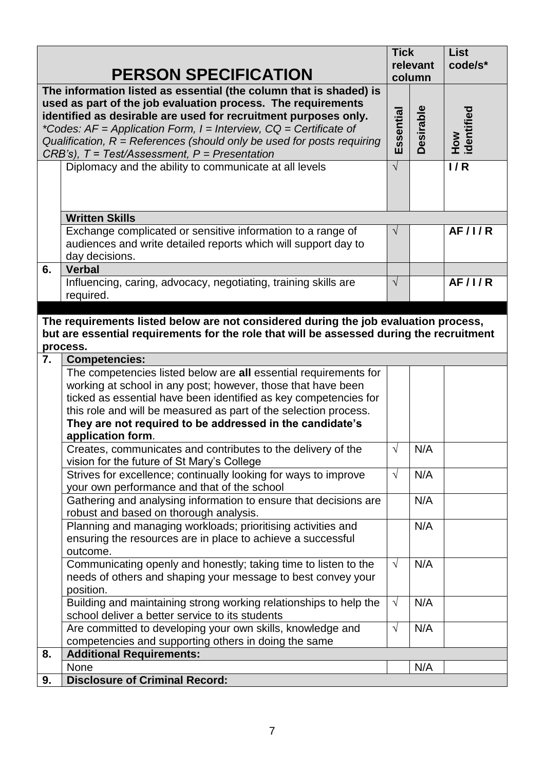| <b>PERSON SPECIFICATION</b> |                                                                                                                                                                                                                                                                                                                                                                                                                       |            |                            | <b>List</b><br>code/s* |
|-----------------------------|-----------------------------------------------------------------------------------------------------------------------------------------------------------------------------------------------------------------------------------------------------------------------------------------------------------------------------------------------------------------------------------------------------------------------|------------|----------------------------|------------------------|
|                             | The information listed as essential (the column that is shaded) is<br>used as part of the job evaluation process. The requirements<br>identified as desirable are used for recruitment purposes only.<br>*Codes: $AF = Application Form$ , $I = Interview$ , $CQ = Certificance$ of<br>Qualification, $R =$ References (should only be used for posts requiring<br>$CRB's$ ), $T = Test/Assessment, P = Presentation$ | Essential  | column<br><b>Desirable</b> | How<br>identified      |
|                             | Diplomacy and the ability to communicate at all levels                                                                                                                                                                                                                                                                                                                                                                | $\sqrt{}$  |                            | 1/R                    |
|                             | <b>Written Skills</b>                                                                                                                                                                                                                                                                                                                                                                                                 |            |                            |                        |
|                             | Exchange complicated or sensitive information to a range of<br>audiences and write detailed reports which will support day to<br>day decisions.                                                                                                                                                                                                                                                                       | $\sqrt{ }$ |                            | <b>AF/I/R</b>          |
| 6.                          | <b>Verbal</b>                                                                                                                                                                                                                                                                                                                                                                                                         |            |                            |                        |
|                             | Influencing, caring, advocacy, negotiating, training skills are<br>required.                                                                                                                                                                                                                                                                                                                                          | $\sqrt{}$  |                            | AF/1/R                 |
|                             |                                                                                                                                                                                                                                                                                                                                                                                                                       |            |                            |                        |
|                             | The requirements listed below are not considered during the job evaluation process,<br>but are essential requirements for the role that will be assessed during the recruitment                                                                                                                                                                                                                                       |            |                            |                        |
| 7.                          | process.<br><b>Competencies:</b>                                                                                                                                                                                                                                                                                                                                                                                      |            |                            |                        |
|                             | The competencies listed below are all essential requirements for<br>working at school in any post; however, those that have been<br>ticked as essential have been identified as key competencies for<br>this role and will be measured as part of the selection process.<br>They are not required to be addressed in the candidate's                                                                                  |            |                            |                        |
|                             | application form.<br>Creates, communicates and contributes to the delivery of the<br>vision for the future of St Mary's College                                                                                                                                                                                                                                                                                       | $\sqrt{}$  | N/A                        |                        |
|                             | Strives for excellence; continually looking for ways to improve<br>your own performance and that of the school                                                                                                                                                                                                                                                                                                        | $\sqrt{ }$ | N/A                        |                        |
|                             | Gathering and analysing information to ensure that decisions are<br>robust and based on thorough analysis.                                                                                                                                                                                                                                                                                                            |            | N/A                        |                        |
|                             | Planning and managing workloads; prioritising activities and<br>ensuring the resources are in place to achieve a successful<br>outcome.                                                                                                                                                                                                                                                                               |            | N/A                        |                        |
|                             | Communicating openly and honestly; taking time to listen to the<br>needs of others and shaping your message to best convey your<br>position.                                                                                                                                                                                                                                                                          | $\sqrt{ }$ | N/A                        |                        |
|                             | Building and maintaining strong working relationships to help the<br>school deliver a better service to its students                                                                                                                                                                                                                                                                                                  | $\sqrt{ }$ | N/A                        |                        |
|                             | Are committed to developing your own skills, knowledge and<br>competencies and supporting others in doing the same                                                                                                                                                                                                                                                                                                    | $\sqrt{ }$ | N/A                        |                        |
| 8.                          | <b>Additional Requirements:</b>                                                                                                                                                                                                                                                                                                                                                                                       |            |                            |                        |
| 9.                          | None<br><b>Disclosure of Criminal Record:</b>                                                                                                                                                                                                                                                                                                                                                                         |            | N/A                        |                        |